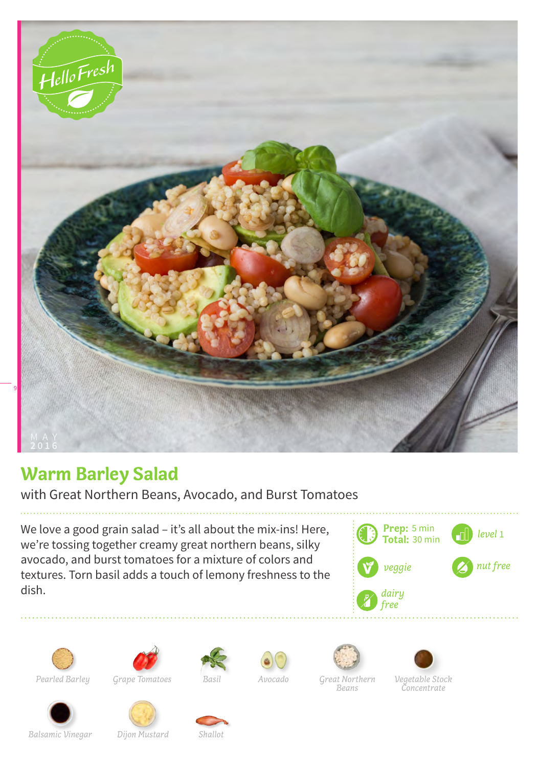

## **Warm Barley Salad**

with Great Northern Beans, Avocado, and Burst Tomatoes

We love a good grain salad – it's all about the mix-ins! Here, we're tossing together creamy great northern beans, silky avocado, and burst tomatoes for a mixture of colors and textures. Torn basil adds a touch of lemony freshness to the dish.















*Great Northern Beans*

*Concentrate*